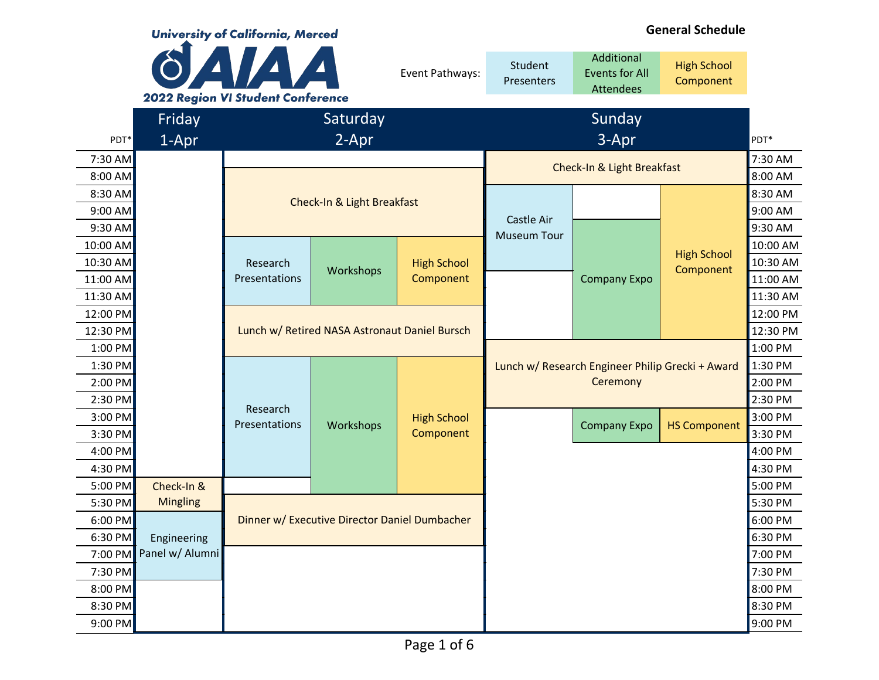|           | <b>University of California, Merced</b> |                                                   |                                               |                    | <b>General Schedule</b>          |                                                         |                                 |          |
|-----------|-----------------------------------------|---------------------------------------------------|-----------------------------------------------|--------------------|----------------------------------|---------------------------------------------------------|---------------------------------|----------|
|           |                                         | AIA A<br><b>2022 Region VI Student Conference</b> |                                               | Event Pathways:    | Student<br><b>Presenters</b>     | Additional<br><b>Events for All</b><br><b>Attendees</b> | <b>High School</b><br>Component |          |
|           | Friday                                  |                                                   | Saturday                                      |                    |                                  | Sunday                                                  |                                 |          |
| PDT*      | 1-Apr                                   |                                                   | 2-Apr                                         |                    |                                  | 3-Apr                                                   |                                 | PDT*     |
| 7:30 AM   |                                         |                                                   |                                               |                    |                                  |                                                         |                                 | 7:30 AM  |
| 8:00 AM   |                                         |                                                   |                                               |                    |                                  | Check-In & Light Breakfast                              |                                 | 8:00 AM  |
| 8:30 AM   |                                         |                                                   |                                               |                    |                                  |                                                         |                                 | 8:30 AM  |
| 9:00 AM   |                                         |                                                   | Check-In & Light Breakfast                    |                    |                                  |                                                         |                                 | 9:00 AM  |
| $9:30$ AM |                                         |                                                   |                                               |                    | Castle Air<br><b>Museum Tour</b> |                                                         |                                 | 9:30 AM  |
| 10:00 AM  |                                         |                                                   |                                               |                    |                                  |                                                         | <b>High School</b>              | 10:00 AM |
| 10:30 AM  |                                         | Research                                          | Workshops                                     | <b>High School</b> |                                  |                                                         | Component                       | 10:30 AM |
| 11:00 AM  |                                         | Presentations                                     |                                               | Component          |                                  | <b>Company Expo</b>                                     |                                 | 11:00 AM |
| 11:30 AM  |                                         |                                                   |                                               |                    |                                  |                                                         |                                 | 11:30 AM |
| 12:00 PM  |                                         |                                                   |                                               |                    |                                  |                                                         |                                 | 12:00 PM |
| 12:30 PM  |                                         |                                                   | Lunch w/ Retired NASA Astronaut Daniel Bursch |                    |                                  |                                                         |                                 | 12:30 PM |
| $1:00$ PM |                                         |                                                   |                                               |                    |                                  |                                                         |                                 | 1:00 PM  |
| 1:30 PM   |                                         |                                                   |                                               |                    |                                  | Lunch w/ Research Engineer Philip Grecki + Award        |                                 | 1:30 PM  |
| 2:00 PM   |                                         |                                                   |                                               |                    |                                  | Ceremony                                                |                                 | 2:00 PM  |
| $2:30$ PM |                                         | Research                                          |                                               |                    |                                  |                                                         |                                 | 2:30 PM  |
| $3:00$ PM |                                         | Presentations                                     | Workshops                                     | <b>High School</b> |                                  | <b>Company Expo</b>                                     | <b>HS Component</b>             | 3:00 PM  |
| 3:30 PM   |                                         |                                                   |                                               | Component          |                                  |                                                         |                                 | 3:30 PM  |
| 4:00 PM   |                                         |                                                   |                                               |                    |                                  |                                                         |                                 | 4:00 PM  |
| 4:30 PM   |                                         |                                                   |                                               |                    |                                  |                                                         |                                 | 4:30 PM  |
| 5:00 PM   | Check-In &                              |                                                   |                                               |                    |                                  |                                                         |                                 | 5:00 PM  |
| 5:30 PM   | <b>Mingling</b>                         |                                                   |                                               |                    |                                  |                                                         |                                 | 5:30 PM  |
| $6:00$ PM |                                         |                                                   | Dinner w/ Executive Director Daniel Dumbacher |                    |                                  |                                                         |                                 | 6:00 PM  |
| $6:30$ PM | Engineering                             |                                                   |                                               |                    |                                  |                                                         |                                 | 6:30 PM  |
| 7:00 PM   | Panel w/ Alumni                         |                                                   |                                               |                    |                                  |                                                         |                                 | 7:00 PM  |
| 7:30 PM   |                                         |                                                   |                                               |                    |                                  |                                                         |                                 | 7:30 PM  |
| $8:00$ PM |                                         |                                                   |                                               |                    |                                  |                                                         |                                 | 8:00 PM  |
| 8:30 PM   |                                         |                                                   |                                               |                    |                                  |                                                         |                                 | 8:30 PM  |
| $9:00$ PM |                                         |                                                   |                                               |                    |                                  |                                                         |                                 | 9:00 PM  |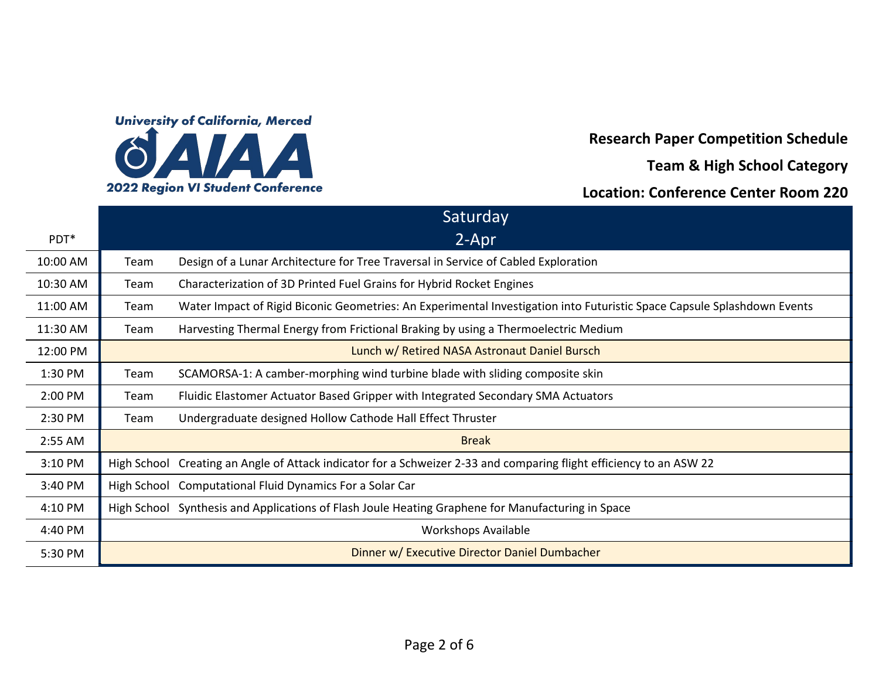

**Research Paper Competition Schedule**

**Team & High School Category**

### **Location: Conference Center Room 220**

|                  |             | Saturday                                                                                                                |
|------------------|-------------|-------------------------------------------------------------------------------------------------------------------------|
| PDT <sup>*</sup> |             | 2-Apr                                                                                                                   |
| 10:00 AM         | Team        | Design of a Lunar Architecture for Tree Traversal in Service of Cabled Exploration                                      |
| 10:30 AM         | Team        | Characterization of 3D Printed Fuel Grains for Hybrid Rocket Engines                                                    |
| 11:00 AM         | Team        | Water Impact of Rigid Biconic Geometries: An Experimental Investigation into Futuristic Space Capsule Splashdown Events |
| 11:30 AM         | Team        | Harvesting Thermal Energy from Frictional Braking by using a Thermoelectric Medium                                      |
| 12:00 PM         |             | Lunch w/ Retired NASA Astronaut Daniel Bursch                                                                           |
| 1:30 PM          | Team        | SCAMORSA-1: A camber-morphing wind turbine blade with sliding composite skin                                            |
| 2:00 PM          | Team        | Fluidic Elastomer Actuator Based Gripper with Integrated Secondary SMA Actuators                                        |
| 2:30 PM          | Team        | Undergraduate designed Hollow Cathode Hall Effect Thruster                                                              |
| 2:55 AM          |             | <b>Break</b>                                                                                                            |
| 3:10 PM          |             | High School Creating an Angle of Attack indicator for a Schweizer 2-33 and comparing flight efficiency to an ASW 22     |
| 3:40 PM          | High School | <b>Computational Fluid Dynamics For a Solar Car</b>                                                                     |
| 4:10 PM          |             | High School Synthesis and Applications of Flash Joule Heating Graphene for Manufacturing in Space                       |
| 4:40 PM          |             | <b>Workshops Available</b>                                                                                              |
| 5:30 PM          |             | Dinner w/ Executive Director Daniel Dumbacher                                                                           |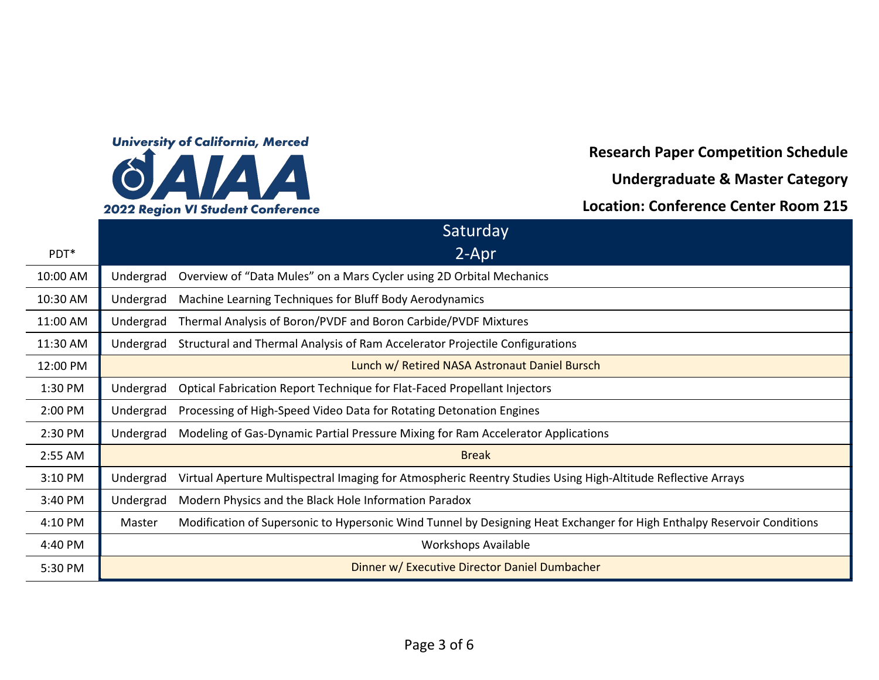

**Research Paper Competition Schedule**

**Undergraduate & Master Category**

**Location: Conference Center Room 215**

|          | Saturday                                                                                                                          |
|----------|-----------------------------------------------------------------------------------------------------------------------------------|
| PDT*     | $2 -$ Apr                                                                                                                         |
| 10:00 AM | Overview of "Data Mules" on a Mars Cycler using 2D Orbital Mechanics<br>Undergrad                                                 |
| 10:30 AM | Machine Learning Techniques for Bluff Body Aerodynamics<br>Undergrad                                                              |
| 11:00 AM | Thermal Analysis of Boron/PVDF and Boron Carbide/PVDF Mixtures<br>Undergrad                                                       |
| 11:30 AM | Structural and Thermal Analysis of Ram Accelerator Projectile Configurations<br>Undergrad                                         |
| 12:00 PM | Lunch w/ Retired NASA Astronaut Daniel Bursch                                                                                     |
| 1:30 PM  | Optical Fabrication Report Technique for Flat-Faced Propellant Injectors<br>Undergrad                                             |
| 2:00 PM  | Processing of High-Speed Video Data for Rotating Detonation Engines<br>Undergrad                                                  |
| 2:30 PM  | Modeling of Gas-Dynamic Partial Pressure Mixing for Ram Accelerator Applications<br>Undergrad                                     |
| 2:55 AM  | <b>Break</b>                                                                                                                      |
| 3:10 PM  | Virtual Aperture Multispectral Imaging for Atmospheric Reentry Studies Using High-Altitude Reflective Arrays<br>Undergrad         |
| 3:40 PM  | Undergrad<br>Modern Physics and the Black Hole Information Paradox                                                                |
| 4:10 PM  | Modification of Supersonic to Hypersonic Wind Tunnel by Designing Heat Exchanger for High Enthalpy Reservoir Conditions<br>Master |
| 4:40 PM  | <b>Workshops Available</b>                                                                                                        |
| 5:30 PM  | Dinner w/ Executive Director Daniel Dumbacher                                                                                     |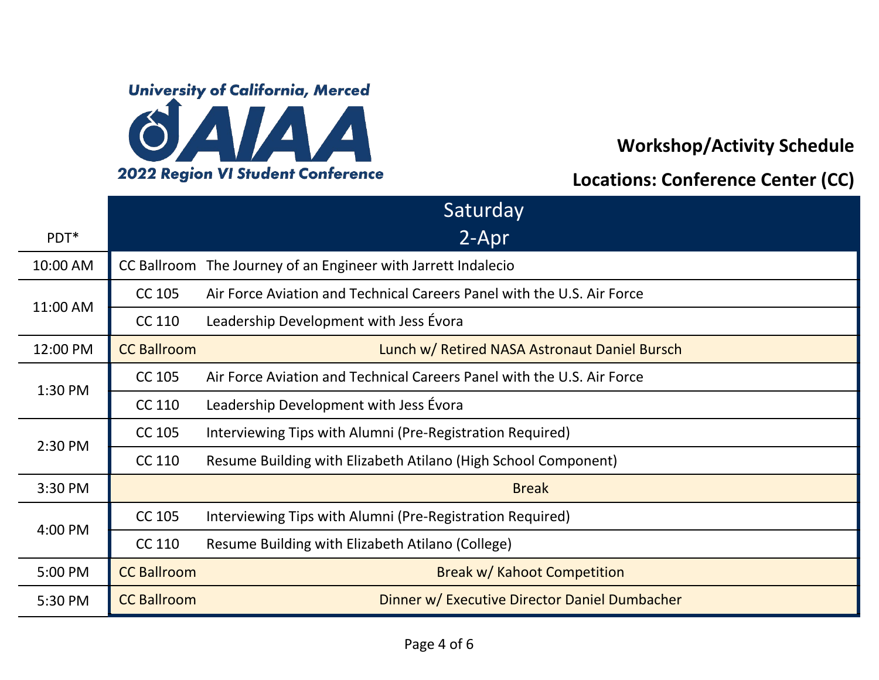

### **Workshop/Activity Schedule**

#### **Locations: Conference Center (CC)**

|          | Saturday           |                                                                        |  |
|----------|--------------------|------------------------------------------------------------------------|--|
| PDT*     |                    | 2-Apr                                                                  |  |
| 10:00 AM | <b>CC Ballroom</b> | The Journey of an Engineer with Jarrett Indalecio                      |  |
| 11:00 AM | <b>CC 105</b>      | Air Force Aviation and Technical Careers Panel with the U.S. Air Force |  |
|          | CC 110             | Leadership Development with Jess Évora                                 |  |
| 12:00 PM | <b>CC Ballroom</b> | Lunch w/ Retired NASA Astronaut Daniel Bursch                          |  |
| 1:30 PM  | CC 105             | Air Force Aviation and Technical Careers Panel with the U.S. Air Force |  |
|          | CC 110             | Leadership Development with Jess Évora                                 |  |
| 2:30 PM  | CC 105             | Interviewing Tips with Alumni (Pre-Registration Required)              |  |
|          | CC 110             | Resume Building with Elizabeth Atilano (High School Component)         |  |
| 3:30 PM  |                    | <b>Break</b>                                                           |  |
| 4:00 PM  | CC 105             | Interviewing Tips with Alumni (Pre-Registration Required)              |  |
|          | CC 110             | Resume Building with Elizabeth Atilano (College)                       |  |
| 5:00 PM  | <b>CC Ballroom</b> | Break w/ Kahoot Competition                                            |  |
| 5:30 PM  | <b>CC Ballroom</b> | Dinner w/ Executive Director Daniel Dumbacher                          |  |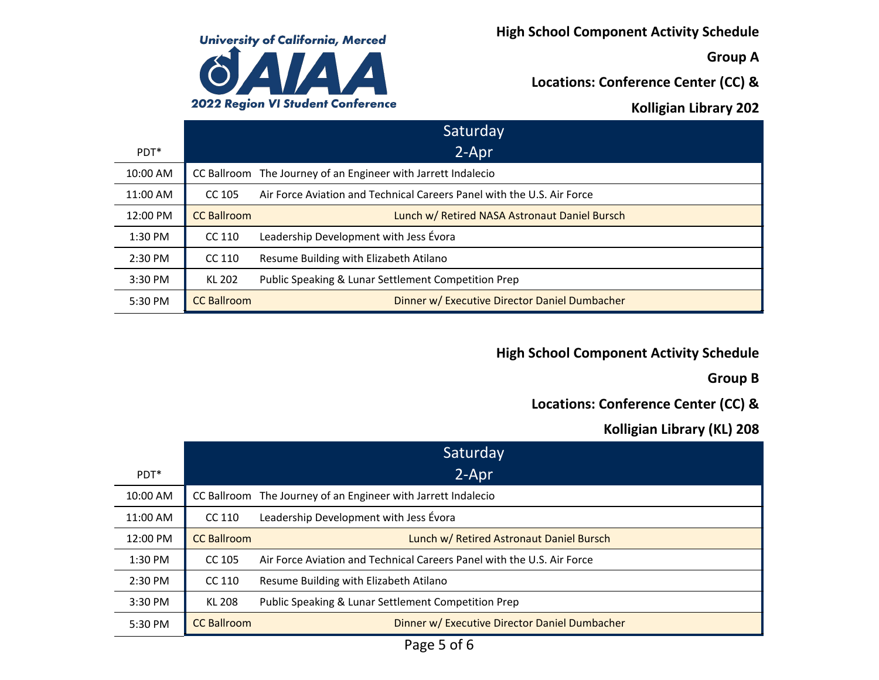

**High School Component Activity Schedule**

**Group A**

**Locations: Conference Center (CC) &**

### **Kolligian Library 202**

|                  |                    | Saturday                                                               |
|------------------|--------------------|------------------------------------------------------------------------|
| PDT <sup>*</sup> |                    | 2-Apr                                                                  |
| 10:00 AM         |                    | CC Ballroom The Journey of an Engineer with Jarrett Indalecio          |
| 11:00 AM         | CC 105             | Air Force Aviation and Technical Careers Panel with the U.S. Air Force |
| 12:00 PM         | <b>CC Ballroom</b> | Lunch w/ Retired NASA Astronaut Daniel Bursch                          |
| 1:30 PM          | CC 110             | Leadership Development with Jess Évora                                 |
| 2:30 PM          | CC 110             | Resume Building with Elizabeth Atilano                                 |
| 3:30 PM          | <b>KL 202</b>      | <b>Public Speaking &amp; Lunar Settlement Competition Prep</b>         |
| 5:30 PM          | <b>CC Ballroom</b> | Dinner w/ Executive Director Daniel Dumbacher                          |

# **High School Component Activity Schedule**

**Group B**

# **Locations: Conference Center (CC) &**

# **Kolligian Library (KL) 208**

|                  |                    | Saturday                                                               |
|------------------|--------------------|------------------------------------------------------------------------|
| PDT <sup>*</sup> |                    | 2-Apr                                                                  |
| 10:00 AM         |                    | CC Ballroom The Journey of an Engineer with Jarrett Indalecio          |
| 11:00 AM         | CC 110             | Leadership Development with Jess Évora                                 |
| 12:00 PM         | <b>CC Ballroom</b> | Lunch w/ Retired Astronaut Daniel Bursch                               |
| 1:30 PM          | CC 105             | Air Force Aviation and Technical Careers Panel with the U.S. Air Force |
| 2:30 PM          | CC 110             | Resume Building with Elizabeth Atilano                                 |
| 3:30 PM          | <b>KL 208</b>      | Public Speaking & Lunar Settlement Competition Prep                    |
| 5:30 PM          | <b>CC Ballroom</b> | Dinner w/ Executive Director Daniel Dumbacher                          |

Page 5 of 6